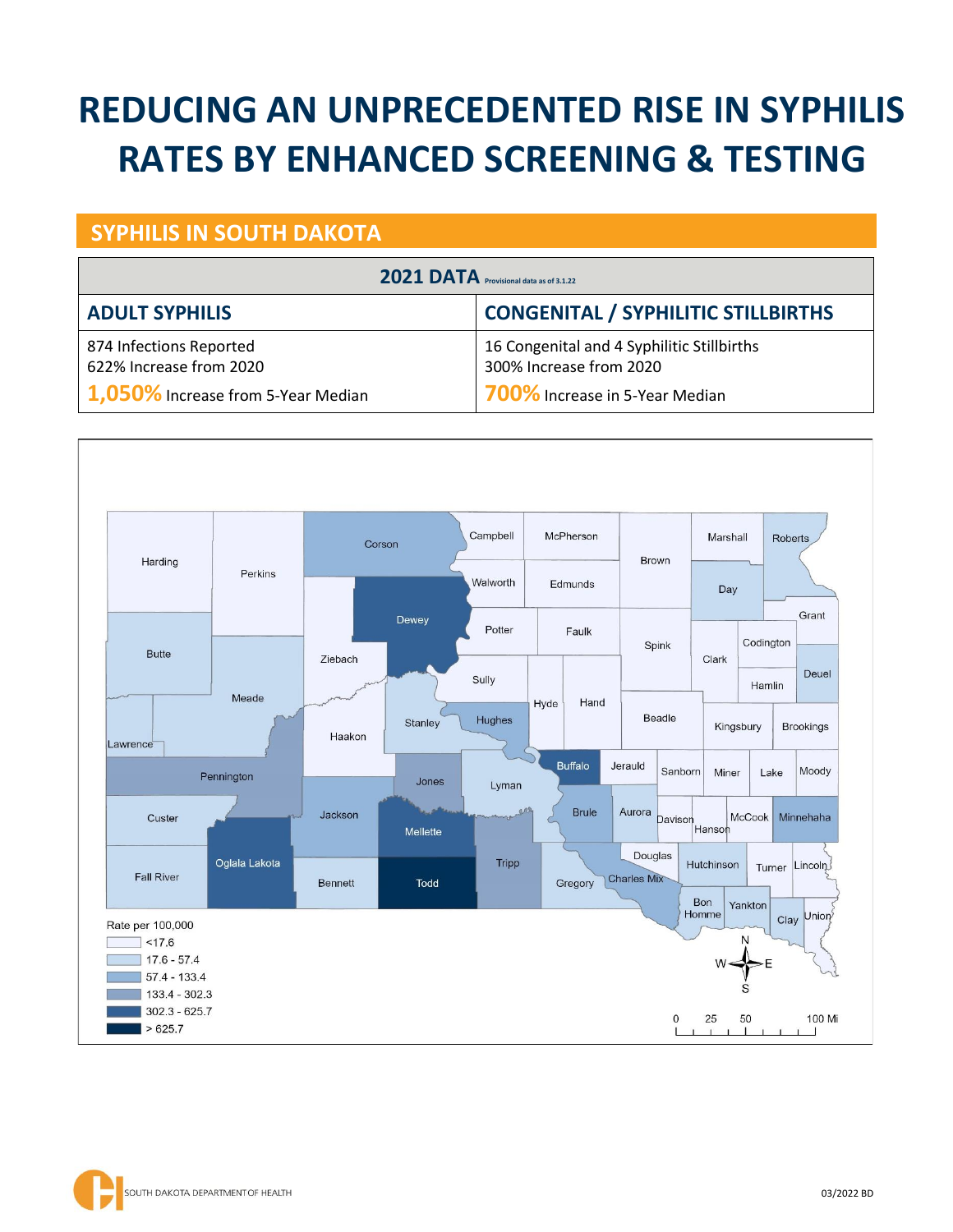# **REDUCING AN UNPRECEDENTED RISE IN SYPHILIS RATES BY ENHANCED SCREENING & TESTING**

# **SYPHILIS IN SOUTH DAKOTA**

| <b>2021 DATA</b> Provisional data as of 3.1.22                                                  |                                                                                                         |  |  |  |
|-------------------------------------------------------------------------------------------------|---------------------------------------------------------------------------------------------------------|--|--|--|
| <b>ADULT SYPHILIS</b>                                                                           | <b>CONGENITAL / SYPHILITIC STILLBIRTHS</b>                                                              |  |  |  |
| 874 Infections Reported<br>622% Increase from 2020<br>$\mid$ 1,050% Increase from 5-Year Median | 16 Congenital and 4 Syphilitic Stillbirths<br>300% Increase from 2020<br>700% Increase in 5-Year Median |  |  |  |

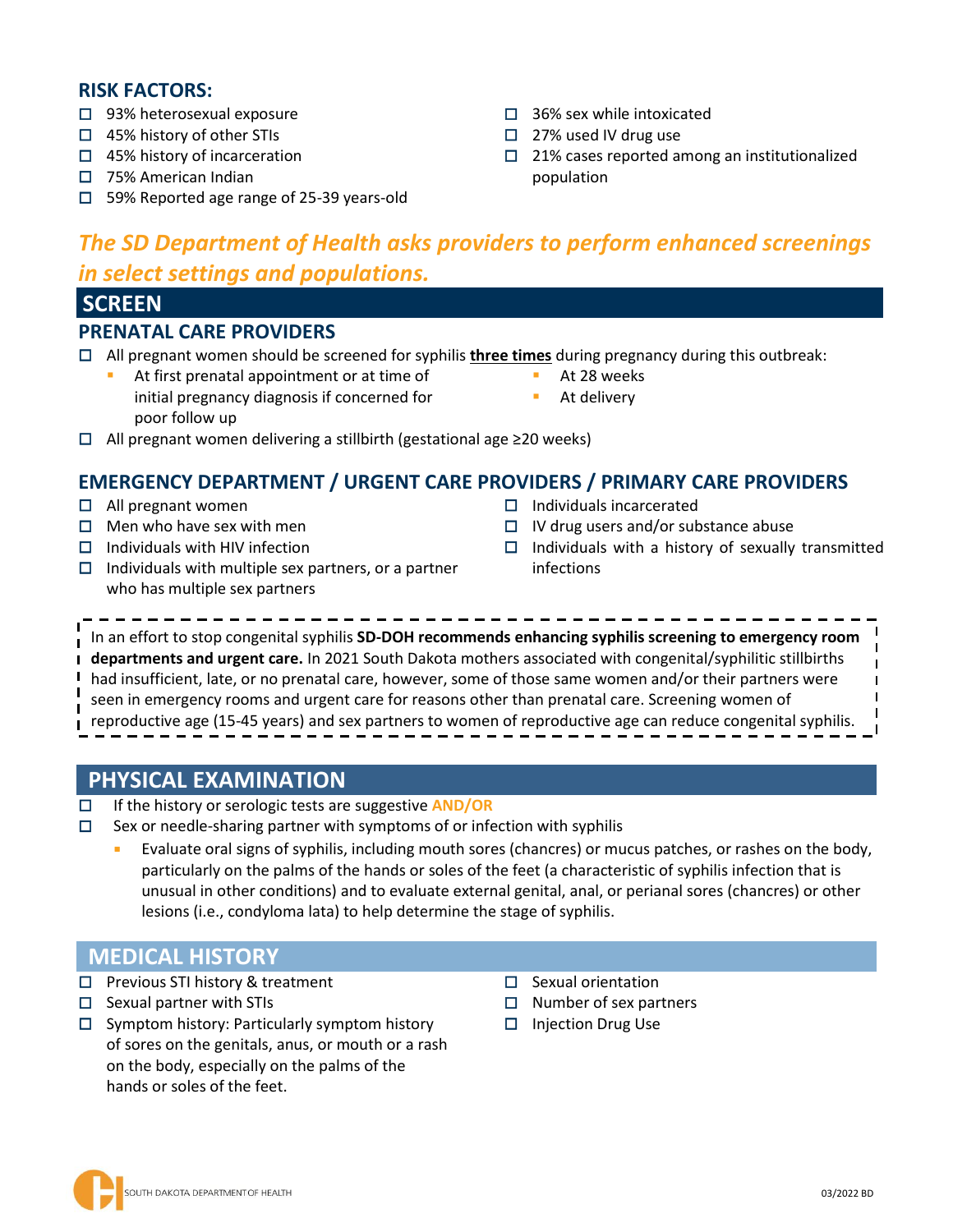#### **RISK FACTORS:**

- $\Box$  93% heterosexual exposure
- □ 45% history of other STIs
- $\Box$  45% history of incarceration
- □ 75% American Indian
- 59% Reported age range of 25-39 years-old
- $\Box$  36% sex while intoxicated
- □ 27% used IV drug use
- $\square$  21% cases reported among an institutionalized population

# *The SD Department of Health asks providers to perform enhanced screenings in select settings and populations.*

#### **SCREEN**

#### **PRENATAL CARE PROVIDERS**

- All pregnant women should be screened for syphilis **three times** during pregnancy during this outbreak:
	- At first prenatal appointment or at time of initial pregnancy diagnosis if concerned for poor follow up
- At 28 weeks
- At delivery
- All pregnant women delivering a stillbirth (gestational age ≥20 weeks)

#### **EMERGENCY DEPARTMENT / URGENT CARE PROVIDERS / PRIMARY CARE PROVIDERS**

- $\Box$  All pregnant women
- $\Box$  Men who have sex with men
- $\Box$  Individuals with HIV infection
- $\Box$  Individuals with multiple sex partners, or a partner who has multiple sex partners
- $\Box$  Individuals incarcerated
- $\Box$  IV drug users and/or substance abuse
- $\Box$  Individuals with a history of sexually transmitted infections

In an effort to stop congenital syphilis **SD-DOH recommends enhancing syphilis screening to emergency room departments and urgent care.** In 2021 South Dakota mothers associated with congenital/syphilitic stillbirths  $\blacksquare$ had insufficient, late, or no prenatal care, however, some of those same women and/or their partners were seen in emergency rooms and urgent care for reasons other than prenatal care. Screening women of reproductive age (15-45 years) and sex partners to women of reproductive age can reduce congenital syphilis.

#### **PHYSICAL EXAMINATION**

- If the history or serologic tests are suggestive **AND/OR**
- $\square$  Sex or needle-sharing partner with symptoms of or infection with syphilis
	- Evaluate oral signs of syphilis, including mouth sores (chancres) or mucus patches, or rashes on the body, particularly on the palms of the hands or soles of the feet (a characteristic of syphilis infection that is unusual in other conditions) and to evaluate external genital, anal, or perianal sores (chancres) or other lesions (i.e., condyloma lata) to help determine the stage of syphilis.

#### **MEDICAL HISTORY**

- $\square$  Previous STI history & treatment
- $\square$  Sexual partner with STIs
- $\square$  Symptom history: Particularly symptom history of sores on the genitals, anus, or mouth or a rash on the body, especially on the palms of the hands or soles of the feet.
- $\square$  Sexual orientation
- $\Box$  Number of sex partners
- $\Box$  Injection Drug Use

SOUTH DAKOTA DEPARTMENT OF HEALTH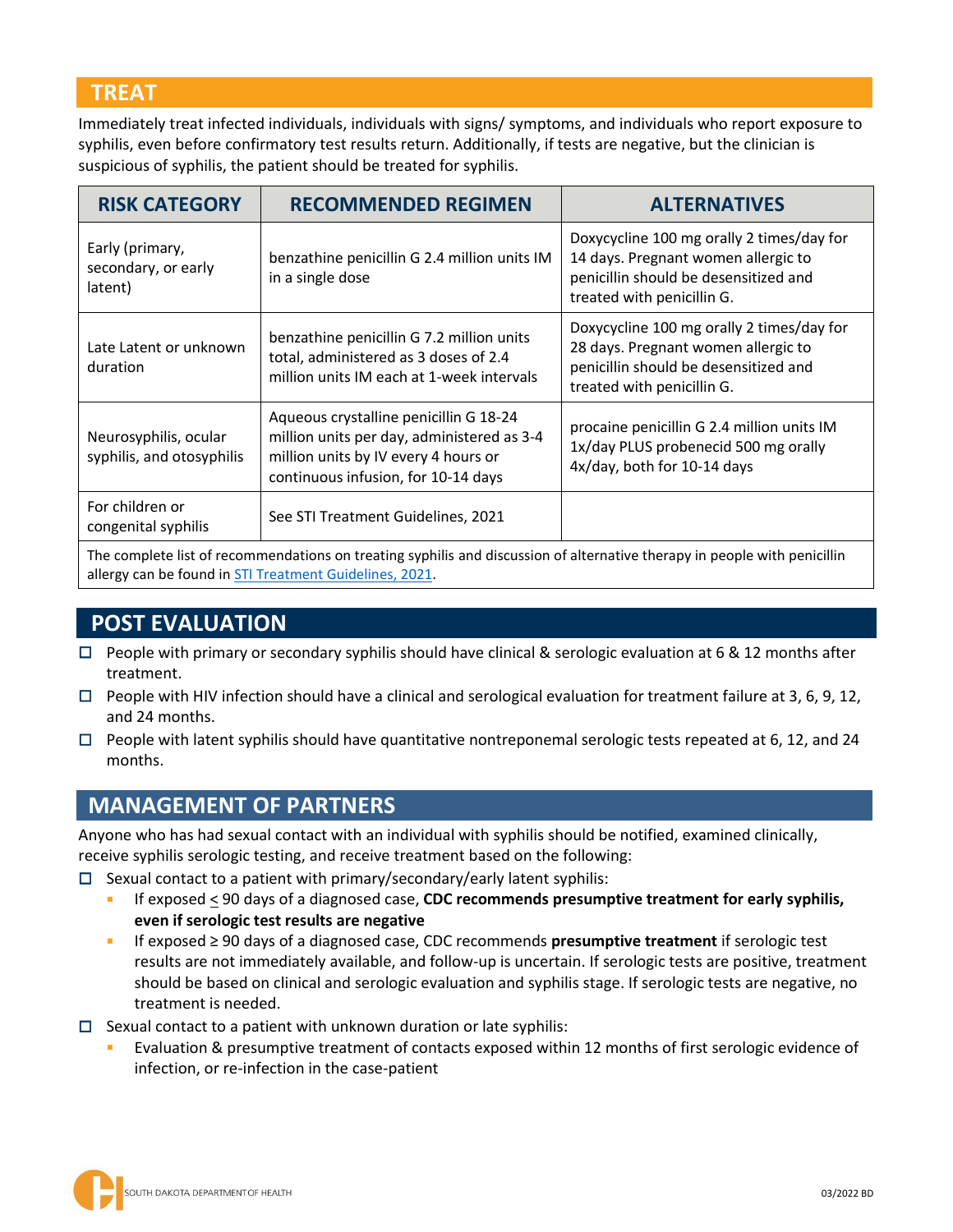### **TREAT**

Immediately treat infected individuals, individuals with signs/ symptoms, and individuals who report exposure to syphilis, even before confirmatory test results return. Additionally, if tests are negative, but the clinician is suspicious of syphilis, the patient should be treated for syphilis.

| <b>RISK CATEGORY</b>                                                                                                      | <b>RECOMMENDED REGIMEN</b>                                                                                                                                          | <b>ALTERNATIVES</b>                                                                                                                                     |  |  |
|---------------------------------------------------------------------------------------------------------------------------|---------------------------------------------------------------------------------------------------------------------------------------------------------------------|---------------------------------------------------------------------------------------------------------------------------------------------------------|--|--|
| Early (primary,<br>secondary, or early<br>latent)                                                                         | benzathine penicillin G 2.4 million units IM<br>in a single dose                                                                                                    | Doxycycline 100 mg orally 2 times/day for<br>14 days. Pregnant women allergic to<br>penicillin should be desensitized and<br>treated with penicillin G. |  |  |
| Late Latent or unknown<br>duration                                                                                        | benzathine penicillin G 7.2 million units<br>total, administered as 3 doses of 2.4<br>million units IM each at 1-week intervals                                     | Doxycycline 100 mg orally 2 times/day for<br>28 days. Pregnant women allergic to<br>penicillin should be desensitized and<br>treated with penicillin G. |  |  |
| Neurosyphilis, ocular<br>syphilis, and otosyphilis                                                                        | Aqueous crystalline penicillin G 18-24<br>million units per day, administered as 3-4<br>million units by IV every 4 hours or<br>continuous infusion, for 10-14 days | procaine penicillin G 2.4 million units IM<br>1x/day PLUS probenecid 500 mg orally<br>4x/day, both for 10-14 days                                       |  |  |
| For children or<br>congenital syphilis                                                                                    | See STI Treatment Guidelines, 2021                                                                                                                                  |                                                                                                                                                         |  |  |
| The complete list of recommendations on tracting syphilic and discussion of alternative therapy in needle with negligible |                                                                                                                                                                     |                                                                                                                                                         |  |  |

The complete list of recommendations on treating syphilis and discussion of alternative therapy in people with penicillin allergy can be found in STI [Treatment Guidelines, 2021.](https://www.cdc.gov/std/treatment-guidelines/default.htm)

# **POST EVALUATION**

- $\Box$  People with primary or secondary syphilis should have clinical & serologic evaluation at 6 & 12 months after treatment.
- $\Box$  People with HIV infection should have a clinical and serological evaluation for treatment failure at 3, 6, 9, 12, and 24 months.
- $\Box$  People with latent syphilis should have quantitative nontreponemal serologic tests repeated at 6, 12, and 24 months.

#### **MANAGEMENT OF PARTNERS**

Anyone who has had sexual contact with an individual with syphilis should be notified, examined clinically, receive syphilis serologic testing, and receive treatment based on the following:

- $\Box$  Sexual contact to a patient with primary/secondary/early latent syphilis:
	- If exposed  $\leq$  90 days of a diagnosed case, CDC recommends presumptive treatment for early syphilis, **even if serologic test results are negative**
	- If exposed ≥ 90 days of a diagnosed case, CDC recommends **presumptive treatment** if serologic test results are not immediately available, and follow-up is uncertain. If serologic tests are positive, treatment should be based on clinical and serologic evaluation and syphilis stage. If serologic tests are negative, no treatment is needed.
- $\square$  Sexual contact to a patient with unknown duration or late syphilis:
	- Evaluation & presumptive treatment of contacts exposed within 12 months of first serologic evidence of infection, or re-infection in the case-patient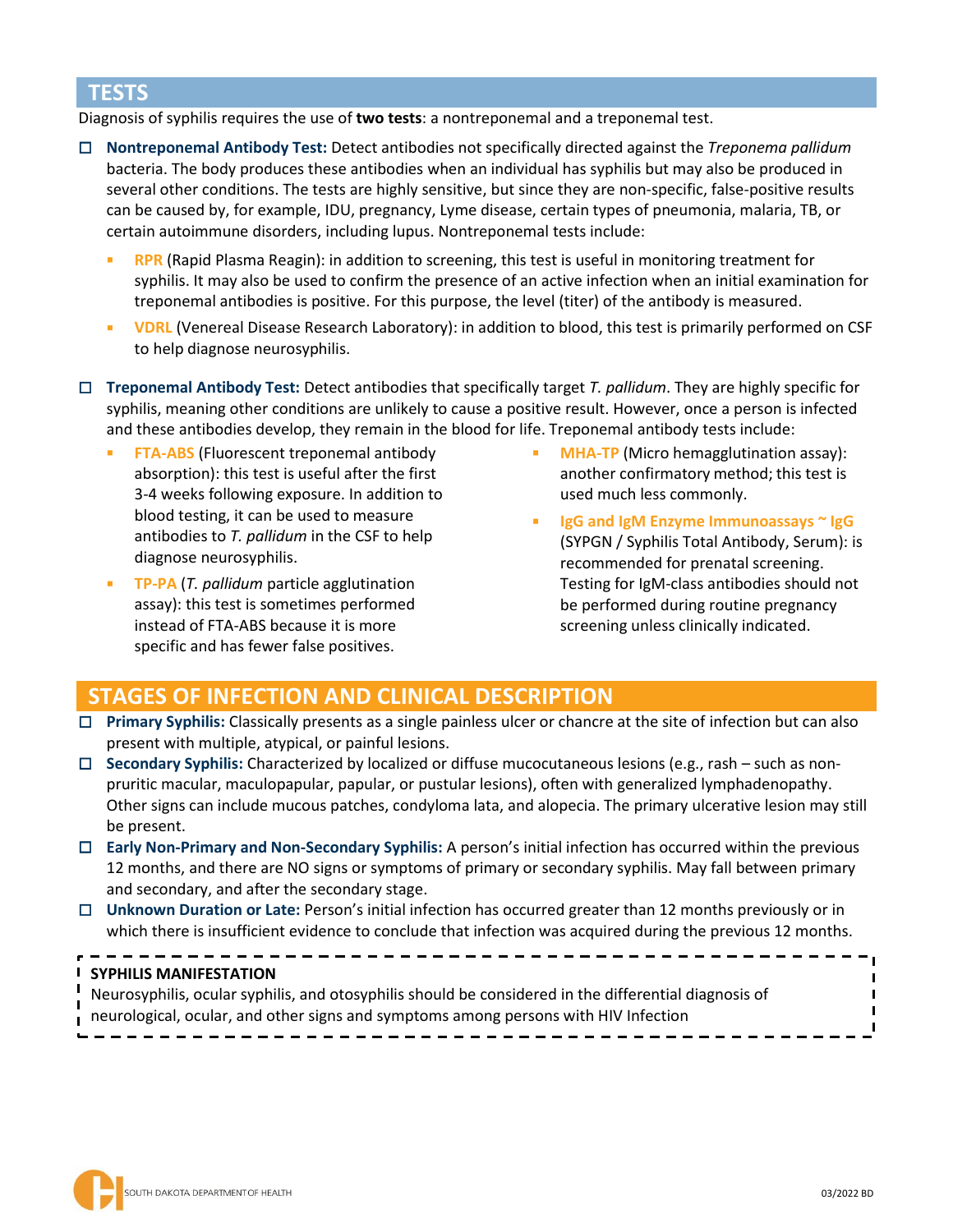#### **TESTS**

Diagnosis of syphilis requires the use of **two tests**: a nontreponemal and a treponemal test.

- **Nontreponemal Antibody Test:** Detect antibodies not specifically directed against the *Treponema pallidum* bacteria. The body produces these antibodies when an individual has syphilis but may also be produced in several other conditions. The tests are highly sensitive, but since they are non-specific, false-positive results can be caused by, for example, IDU, pregnancy, Lyme disease, certain types of pneumonia, malaria, TB, or certain autoimmune disorders, including lupus. Nontreponemal tests include:
	- **RPR** (Rapid Plasma Reagin): in addition to screening, this test is useful in monitoring treatment for syphilis. It may also be used to confirm the presence of an active infection when an initial examination for treponemal antibodies is positive. For this purpose, the level (titer) of the antibody is measured.
	- **VDRL** (Venereal Disease Research Laboratory): in addition to blood, this test is primarily performed on CSF to help diagnose neurosyphilis.
- **Treponemal Antibody Test:** Detect antibodies that specifically target *T. pallidum*. They are highly specific for syphilis, meaning other conditions are unlikely to cause a positive result. However, once a person is infected and these antibodies develop, they remain in the blood for life. Treponemal antibody tests include:
	- **FTA-ABS** (Fluorescent treponemal antibody absorption): this test is useful after the first 3-4 weeks following exposure. In addition to blood testing, it can be used to measure antibodies to *T. pallidum* in the CSF to help diagnose neurosyphilis.
	- **TP-PA** (*T. pallidum* particle agglutination assay): this test is sometimes performed instead of FTA-ABS because it is more specific and has fewer false positives.
- **MHA-TP** (Micro hemagglutination assay): another confirmatory method; this test is used much less commonly.
- **IgG and IgM Enzyme Immunoassays ~ IgG**  (SYPGN / Syphilis Total Antibody, Serum): is recommended for prenatal screening. Testing for IgM-class antibodies should not be performed during routine pregnancy screening unless clinically indicated.

## **STAGES OF INFECTION AND CLINICAL DESCRIPTION**

- **Primary Syphilis:** Classically presents as a single painless ulcer or chancre at the site of infection but can also present with multiple, atypical, or painful lesions.
- **Secondary Syphilis:** Characterized by localized or diffuse mucocutaneous lesions (e.g., rash such as nonpruritic macular, maculopapular, papular, or pustular lesions), often with generalized lymphadenopathy. Other signs can include mucous patches, condyloma lata, and alopecia. The primary ulcerative lesion may still be present.
- **Early Non-Primary and Non-Secondary Syphilis:** A person's initial infection has occurred within the previous 12 months, and there are NO signs or symptoms of primary or secondary syphilis. May fall between primary and secondary, and after the secondary stage.
- **Unknown Duration or Late:** Person's initial infection has occurred greater than 12 months previously or in which there is insufficient evidence to conclude that infection was acquired during the previous 12 months.

| <b>I SYPHILIS MANIFESTATION</b>                                                                       |  |
|-------------------------------------------------------------------------------------------------------|--|
| Neurosyphilis, ocular syphilis, and otosyphilis should be considered in the differential diagnosis of |  |
| $\frac{1}{1}$ neurological, ocular, and other signs and symptoms among persons with HIV Infection     |  |
|                                                                                                       |  |

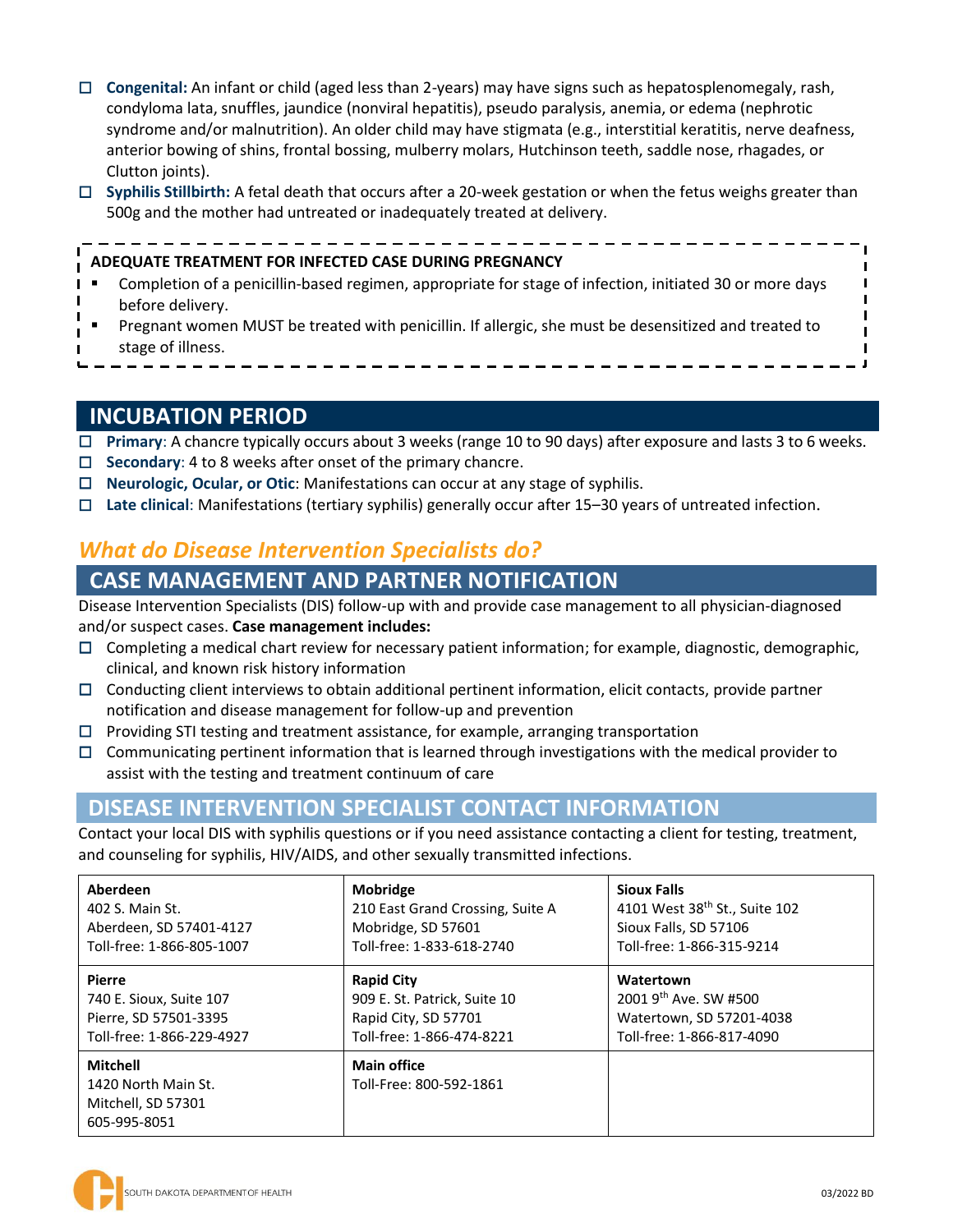- **Congenital:** An infant or child (aged less than 2-years) may have signs such as hepatosplenomegaly, rash, condyloma lata, snuffles, jaundice (nonviral hepatitis), pseudo paralysis, anemia, or edema (nephrotic syndrome and/or malnutrition). An older child may have stigmata (e.g., interstitial keratitis, nerve deafness, anterior bowing of shins, frontal bossing, mulberry molars, Hutchinson teeth, saddle nose, rhagades, or Clutton joints).
- **Syphilis Stillbirth:** A fetal death that occurs after a 20-week gestation or when the fetus weighs greater than 500g and the mother had untreated or inadequately treated at delivery.

---------

#### **ADEQUATE TREATMENT FOR INFECTED CASE DURING PREGNANCY**

- Completion of a penicillin-based regimen, appropriate for stage of infection, initiated 30 or more days before delivery.
- Pregnant women MUST be treated with penicillin. If allergic, she must be desensitized and treated to stage of illness.

#### **INCUBATION PERIOD**

- **Primary**: A chancre typically occurs about 3 weeks (range 10 to 90 days) after exposure and lasts 3 to 6 weeks.
- **Secondary**: 4 to 8 weeks after onset of the primary chancre.
- **Neurologic, Ocular, or Otic**: Manifestations can occur at any stage of syphilis.
- **Late clinical**: Manifestations (tertiary syphilis) generally occur after 15–30 years of untreated infection.

# *What do Disease Intervention Specialists do?*

### **CASE MANAGEMENT AND PARTNER NOTIFICATION**

Disease Intervention Specialists (DIS) follow-up with and provide case management to all physician-diagnosed and/or suspect cases. **Case management includes:**

- $\Box$  Completing a medical chart review for necessary patient information; for example, diagnostic, demographic, clinical, and known risk history information
- $\Box$  Conducting client interviews to obtain additional pertinent information, elicit contacts, provide partner notification and disease management for follow-up and prevention
- $\square$  Providing STI testing and treatment assistance, for example, arranging transportation
- $\Box$  Communicating pertinent information that is learned through investigations with the medical provider to assist with the testing and treatment continuum of care

#### **DISEASE INTERVENTION SPECIALIST CONTACT INFORMATION**

Contact your local DIS with syphilis questions or if you need assistance contacting a client for testing, treatment, and counseling for syphilis, HIV/AIDS, and other sexually transmitted infections.

| Aberdeen                                                                     | <b>Mobridge</b>                               | <b>Sioux Falls</b>                        |
|------------------------------------------------------------------------------|-----------------------------------------------|-------------------------------------------|
| 402 S. Main St.                                                              | 210 East Grand Crossing, Suite A              | 4101 West 38 <sup>th</sup> St., Suite 102 |
| Aberdeen, SD 57401-4127                                                      | Mobridge, SD 57601                            | Sioux Falls, SD 57106                     |
| Toll-free: 1-866-805-1007                                                    | Toll-free: 1-833-618-2740                     | Toll-free: 1-866-315-9214                 |
| <b>Pierre</b>                                                                | <b>Rapid City</b>                             | Watertown                                 |
| 740 E. Sioux, Suite 107                                                      | 909 E. St. Patrick, Suite 10                  | 2001 9th Ave. SW #500                     |
| Pierre, SD 57501-3395                                                        | Rapid City, SD 57701                          | Watertown, SD 57201-4038                  |
| Toll-free: 1-866-229-4927                                                    | Toll-free: 1-866-474-8221                     | Toll-free: 1-866-817-4090                 |
| <b>Mitchell</b><br>1420 North Main St.<br>Mitchell, SD 57301<br>605-995-8051 | <b>Main office</b><br>Toll-Free: 800-592-1861 |                                           |